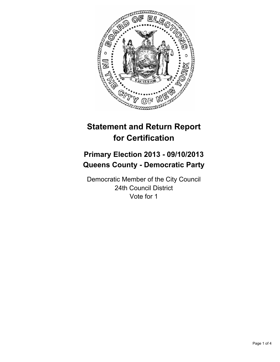

# **Statement and Return Report for Certification**

# **Primary Election 2013 - 09/10/2013 Queens County - Democratic Party**

Democratic Member of the City Council 24th Council District Vote for 1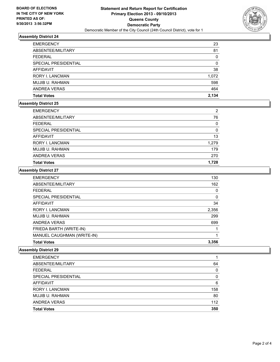

# **Assembly District 24**

| <b>EMERGENCY</b>       | 23    |
|------------------------|-------|
| ABSENTEE/MILITARY      | 81    |
| <b>FEDERAL</b>         | 0     |
| SPECIAL PRESIDENTIAL   | 0     |
| <b>AFFIDAVIT</b>       | 38    |
| <b>RORY I. LANCMAN</b> | 1,072 |
| MUJIB U. RAHMAN        | 598   |
| <b>ANDREA VERAS</b>    | 464   |
| <b>Total Votes</b>     | 2,134 |

### **Assembly District 25**

| <b>EMERGENCY</b>       | 2     |
|------------------------|-------|
| ABSENTEE/MILITARY      | 76    |
| <b>FEDERAL</b>         | 0     |
| SPECIAL PRESIDENTIAL   | 0     |
| AFFIDAVIT              | 13    |
| <b>RORY I. LANCMAN</b> | 1,279 |
| MUJIB U. RAHMAN        | 179   |
| ANDREA VERAS           | 270   |
| <b>Total Votes</b>     | 1,728 |

#### **Assembly District 27**

| <b>Total Votes</b>         | 3.356    |
|----------------------------|----------|
| MANUEL CAUGHMAN (WRITE-IN) |          |
| FRIEDA BARTH (WRITE-IN)    |          |
| ANDREA VERAS               | 699      |
| MUJIB U. RAHMAN            | 299      |
| <b>RORY I. LANCMAN</b>     | 2,356    |
| <b>AFFIDAVIT</b>           | 34       |
| SPECIAL PRESIDENTIAL       | $\Omega$ |
| <b>FEDERAL</b>             | 0        |
| ABSENTEE/MILITARY          | 162      |
| <b>EMERGENCY</b>           | 130      |

## **Assembly District 29**

| <b>EMERGENCY</b>       |     |
|------------------------|-----|
| ABSENTEE/MILITARY      | 64  |
| <b>FEDERAL</b>         | 0   |
| SPECIAL PRESIDENTIAL   | 0   |
| AFFIDAVIT              | 6   |
| <b>RORY I. LANCMAN</b> | 158 |
| MUJIB U. RAHMAN        | 80  |
| ANDREA VERAS           | 112 |
| <b>Total Votes</b>     | 350 |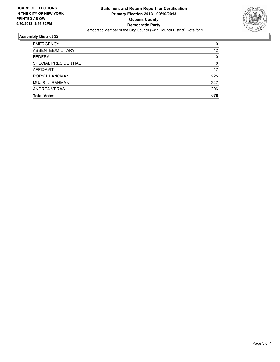

# **Assembly District 32**

| <b>EMERGENCY</b>       | 0   |
|------------------------|-----|
| ABSENTEE/MILITARY      | 12  |
| <b>FEDERAL</b>         | 0   |
| SPECIAL PRESIDENTIAL   | 0   |
| AFFIDAVIT              | 17  |
| <b>RORY I. LANCMAN</b> | 225 |
| MUJIB U. RAHMAN        | 247 |
| ANDREA VERAS           | 206 |
| <b>Total Votes</b>     | 678 |